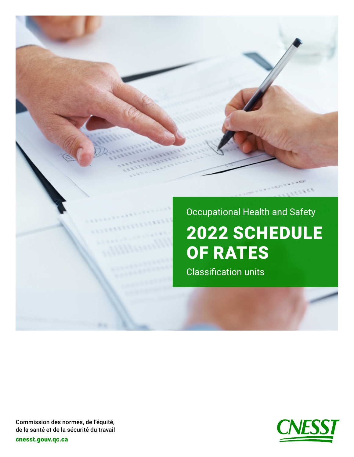





Commission des normes, de l'équité, de la santé et de la sécurité du travail

[cnesst.gouv.qc.ca](https://www.cnesst.gouv.qc.ca)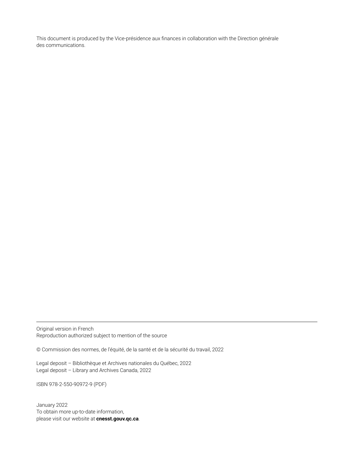This document is produced by the Vice-présidence aux finances in collaboration with the Direction générale des communications.

Original version in French Reproduction authorized subject to mention of the source

© Commission des normes, de l'équité, de la santé et de la sécurité du travail, 2022

Legal deposit – Bibliothèque et Archives nationales du Québec, 2022 Legal deposit – Library and Archives Canada, 2022

ISBN 978-2-550-90972-9 (PDF)

January 2022 To obtain more up-to-date information, please visit our website at **[cnesst.gouv.qc.ca](https://www.cnesst.gouv.qc.ca)**.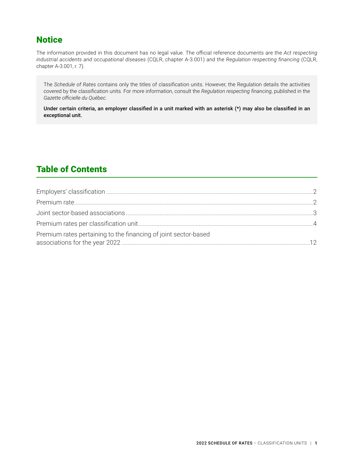## **Notice**

The information provided in this document has no legal value. The official reference documents are the *Act respecting industrial accidents and occupational diseases* (CQLR, chapter A-3.001) and the *Regulation respecting financing* (CQLR, chapter A-3.001, r. 7).

The *Schedule of Rates* contains only the titles of classification units. However, the Regulation details the activities covered by the classification units. For more information, consult the *Regulation respecting financing*, published in the *Gazette officielle du Québec*.

Under certain criteria, an employer classified in a unit marked with an asterisk (\*) may also be classified in an exceptional unit.

# Table of Contents

| Premium rates pertaining to the financing of joint sector-based |  |
|-----------------------------------------------------------------|--|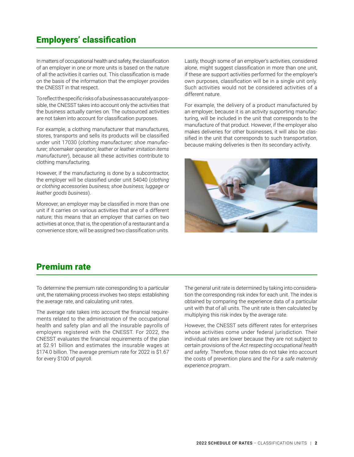## <span id="page-3-0"></span>Employers' classification

In matters of occupational health and safety, the classification of an employer in one or more units is based on the nature of all the activities it carries out. This classification is made on the basis of the information that the employer provides the CNESST in that respect.

To reflect the specific risks of a business as accurately as possible, the CNESST takes into account only the activities that the business actually carries on. The outsourced activities are not taken into account for classification purposes.

For example, a clothing manufacturer that manufactures, stores, transports and sells its products will be classified under unit 17030 (*clothing manufacturer; shoe manufacturer; shoemaker operation; leather or leather imitation items manufacturer*), because all these activities contribute to clothing manufacturing.

However, if the manufacturing is done by a subcontractor, the employer will be classified under unit 54040 (*clothing or clothing accessories business; shoe business; luggage or leather goods business*).

Moreover, an employer may be classified in more than one unit if it carries on various activities that are of a different nature; this means that an employer that carries on two activities at once, that is, the operation of a restaurant and a convenience store, will be assigned two classification units.

Lastly, though some of an employer's activities, considered alone, might suggest classification in more than one unit, if these are support activities performed for the employer's own purposes, classification will be in a single unit only. Such activities would not be considered activities of a different nature.

For example, the delivery of a product manufactured by an employer, because it is an activity supporting manufacturing, will be included in the unit that corresponds to the manufacture of that product. However, if the employer also makes deliveries for other businesses, it will also be classified in the unit that corresponds to such transportation, because making deliveries is then its secondary activity.



#### Premium rate

To determine the premium rate corresponding to a particular unit, the ratemaking process involves two steps: establishing the average rate, and calculating unit rates.

The average rate takes into account the financial requirements related to the administration of the occupational health and safety plan and all the insurable payrolls of employers registered with the CNESST. For 2022, the CNESST evaluates the financial requirements of the plan at \$2.91 billion and estimates the insurable wages at \$174.0 billion. The average premium rate for 2022 is \$1.67 for every \$100 of payroll.

The general unit rate is determined by taking into consideration the corresponding risk index for each unit. The index is obtained by comparing the experience data of a particular unit with that of all units. The unit rate is then calculated by multiplying this risk index by the average rate.

However, the CNESST sets different rates for enterprises whose activities come under federal jurisdiction. Their individual rates are lower because they are not subject to certain provisions of the *Act respecting occupational health and safety*. Therefore, those rates do not take into account the costs of prevention plans and the *For a safe maternity experience program*.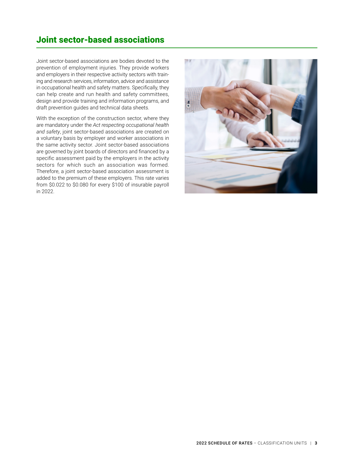## <span id="page-4-0"></span>Joint sector-based associations

Joint sector-based associations are bodies devoted to the prevention of employment injuries. They provide workers and employers in their respective activity sectors with training and research services, information, advice and assistance in occupational health and safety matters. Specifically, they can help create and run health and safety committees, design and provide training and information programs, and draft prevention guides and technical data sheets.

With the exception of the construction sector, where they are mandatory under the *Act respecting occupational health and safety*, joint sector-based associations are created on a voluntary basis by employer and worker associations in the same activity sector. Joint sector-based associations are governed by joint boards of directors and financed by a specific assessment paid by the employers in the activity sectors for which such an association was formed. Therefore, a joint sector-based association assessment is added to the premium of these employers. This rate varies from \$0.022 to \$0.080 for every \$100 of insurable payroll in 2022.

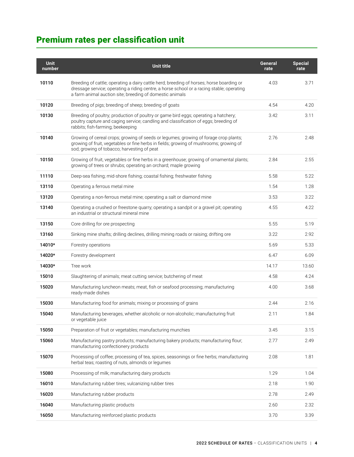# <span id="page-5-0"></span>Premium rates per classification unit

| <b>Unit</b><br>number | <b>Unit title</b>                                                                                                                                                                                                                                 | General<br>rate | <b>Special</b><br>rate |
|-----------------------|---------------------------------------------------------------------------------------------------------------------------------------------------------------------------------------------------------------------------------------------------|-----------------|------------------------|
| 10110                 | Breeding of cattle; operating a dairy cattle herd; breeding of horses; horse boarding or<br>dressage service; operating a riding centre, a horse school or a racing stable; operating<br>a farm animal auction site; breeding of domestic animals | 4.03            | 3.71                   |
| 10120                 | Breeding of pigs; breeding of sheep; breeding of goats                                                                                                                                                                                            | 4.54            | 4.20                   |
| 10130                 | Breeding of poultry; production of poultry or game bird eggs; operating a hatchery;<br>poultry capture and caging service; candling and classification of eggs; breeding of<br>rabbits; fish-farming; beekeeping                                  | 3.42            | 3.11                   |
| 10140                 | Growing of cereal crops; growing of seeds or legumes; growing of forage crop plants;<br>growing of fruit, vegetables or fine herbs in fields; growing of mushrooms; growing of<br>sod; growing of tobacco; harvesting of peat                     | 2.76            | 2.48                   |
| 10150                 | Growing of fruit, vegetables or fine herbs in a greenhouse; growing of ornamental plants;<br>growing of trees or shrubs; operating an orchard; maple growing                                                                                      | 2.84            | 2.55                   |
| 11110                 | Deep-sea fishing; mid-shore fishing; coastal fishing; freshwater fishing                                                                                                                                                                          | 5.58            | 5.22                   |
| 13110                 | Operating a ferrous metal mine                                                                                                                                                                                                                    | 1.54            | 1.28                   |
| 13120                 | Operating a non-ferrous metal mine; operating a salt or diamond mine                                                                                                                                                                              | 3.53            | 3.22                   |
| 13140                 | Operating a crushed or freestone quarry; operating a sandpit or a gravel pit; operating<br>an industrial or structural mineral mine                                                                                                               | 4.55            | 4.22                   |
| 13150                 | Core drilling for ore prospecting                                                                                                                                                                                                                 | 5.55            | 5.19                   |
| 13160                 | Sinking mine shafts; drilling declines, drilling mining roads or raising; drifting ore                                                                                                                                                            | 3.22            | 2.92                   |
| 14010*                | Forestry operations                                                                                                                                                                                                                               | 5.69            | 5.33                   |
| 14020*                | Forestry development                                                                                                                                                                                                                              | 6.47            | 6.09                   |
| 14030*                | Tree work                                                                                                                                                                                                                                         | 14.17           | 13.60                  |
| 15010                 | Slaughtering of animals; meat cutting service; butchering of meat                                                                                                                                                                                 | 4.58            | 4.24                   |
| 15020                 | Manufacturing luncheon meats; meat, fish or seafood processing; manufacturing<br>ready-made dishes                                                                                                                                                | 4.00            | 3.68                   |
| 15030                 | Manufacturing food for animals; mixing or processing of grains                                                                                                                                                                                    | 2.44            | 2.16                   |
| 15040                 | Manufacturing beverages, whether alcoholic or non-alcoholic; manufacturing fruit<br>or vegetable juice                                                                                                                                            | 2.11            | 1.84                   |
| 15050                 | Preparation of fruit or vegetables; manufacturing munchies                                                                                                                                                                                        | 3.45            | 3.15                   |
| 15060                 | Manufacturing pastry products; manufacturing bakery products; manufacturing flour;<br>manufacturing confectionery products                                                                                                                        | 2.77            | 2.49                   |
| 15070                 | Processing of coffee; processing of tea, spices, seasonings or fine herbs; manufacturing<br>herbal teas; roasting of nuts, almonds or legumes                                                                                                     | 2.08            | 1.81                   |
| 15080                 | Processing of milk; manufacturing dairy products                                                                                                                                                                                                  | 1.29            | 1.04                   |
| 16010                 | Manufacturing rubber tires; vulcanizing rubber tires                                                                                                                                                                                              | 2.18            | 1.90                   |
| 16020                 | Manufacturing rubber products                                                                                                                                                                                                                     | 2.78            | 2.49                   |
| 16040                 | Manufacturing plastic products                                                                                                                                                                                                                    | 2.60            | 2.32                   |
| 16050                 | Manufacturing reinforced plastic products                                                                                                                                                                                                         | 3.70            | 3.39                   |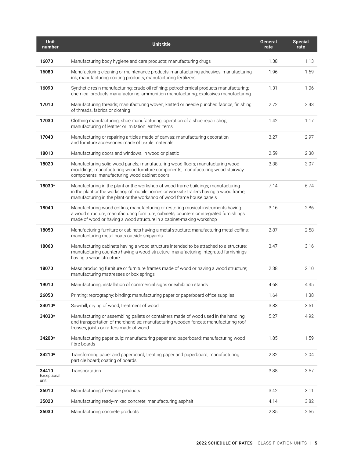| <b>Unit</b><br>number        | Unit title                                                                                                                                                                                                                                           | General<br>rate | <b>Special</b><br>rate |
|------------------------------|------------------------------------------------------------------------------------------------------------------------------------------------------------------------------------------------------------------------------------------------------|-----------------|------------------------|
| 16070                        | Manufacturing body hygiene and care products; manufacturing drugs                                                                                                                                                                                    | 1.38            | 1.13                   |
| 16080                        | Manufacturing cleaning or maintenance products; manufacturing adhesives; manufacturing<br>ink; manufacturing coating products; manufacturing fertilizers                                                                                             | 1.96            | 1.69                   |
| 16090                        | Synthetic resin manufacturing; crude oil refining; petrochemical products manufacturing;<br>chemical products manufacturing; ammunition manufacturing; explosives manufacturing                                                                      | 1.31            | 1.06                   |
| 17010                        | Manufacturing threads; manufacturing woven, knitted or needle punched fabrics, finishing<br>of threads, fabrics or clothing                                                                                                                          | 2.72            | 2.43                   |
| 17030                        | Clothing manufacturing; shoe manufacturing; operation of a shoe repair shop;<br>manufacturing of leather or imitation leather items                                                                                                                  | 1.42            | 1.17                   |
| 17040                        | Manufacturing or repairing articles made of canvas; manufacturing decoration<br>and furniture accessories made of textile materials                                                                                                                  | 3.27            | 2.97                   |
| 18010                        | Manufacturing doors and windows, in wood or plastic                                                                                                                                                                                                  | 2.59            | 2.30                   |
| 18020                        | Manufacturing solid wood panels; manufacturing wood floors; manufacturing wood<br>mouldings; manufacturing wood furniture components; manufacturing wood stairway<br>components; manufacturing wood cabinet doors                                    | 3.38            | 3.07                   |
| 18030*                       | Manufacturing in the plant or the workshop of wood frame buildings; manufacturing<br>in the plant or the workshop of mobile homes or worksite trailers having a wood frame,<br>manufacturing in the plant or the workshop of wood frame house panels | 7.14            | 6.74                   |
| 18040                        | Manufacturing wood coffins; manufacturing or restoring musical instruments having<br>a wood structure; manufacturing furniture, cabinets, counters or integrated furnishings<br>made of wood or having a wood structure in a cabinet-making workshop | 3.16            | 2.86                   |
| 18050                        | Manufacturing furniture or cabinets having a metal structure; manufacturing metal coffins;<br>manufacturing metal boats outside shipyards                                                                                                            | 2.87            | 2.58                   |
| 18060                        | Manufacturing cabinets having a wood structure intended to be attached to a structure;<br>manufacturing counters having a wood structure; manufacturing integrated furnishings<br>having a wood structure                                            | 3.47            | 3.16                   |
| 18070                        | Mass producing furniture or furniture frames made of wood or having a wood structure;<br>manufacturing mattresses or box springs                                                                                                                     | 2.38            | 2.10                   |
| 19010                        | Manufacturing, installation of commercial signs or exhibition stands                                                                                                                                                                                 | 4.68            | 4.35                   |
| 26050                        | Printing; reprography; binding; manufacturing paper or paperboard office supplies                                                                                                                                                                    | 1.64            | 1.38                   |
| 34010*                       | Sawmill; drying of wood; treatment of wood                                                                                                                                                                                                           | 3.83            | 3.51                   |
| 34030*                       | Manufacturing or assembling pallets or containers made of wood used in the handling<br>and transportation of merchandise; manufacturing wooden fences; manufacturing roof<br>trusses, joists or rafters made of wood                                 | 5.27            | 4.92                   |
| 34200*                       | Manufacturing paper pulp; manufacturing paper and paperboard; manufacturing wood<br>fibre boards                                                                                                                                                     | 1.85            | 1.59                   |
| 34210*                       | Transforming paper and paperboard; treating paper and paperboard; manufacturing<br>particle board; coating of boards                                                                                                                                 | 2.32            | 2.04                   |
| 34410<br>Exceptional<br>unit | Transportation                                                                                                                                                                                                                                       | 3.88            | 3.57                   |
| 35010                        | Manufacturing freestone products                                                                                                                                                                                                                     | 3.42            | 3.11                   |
| 35020                        | Manufacturing ready-mixed concrete; manufacturing asphalt                                                                                                                                                                                            | 4.14            | 3.82                   |
| 35030                        | Manufacturing concrete products                                                                                                                                                                                                                      | 2.85            | 2.56                   |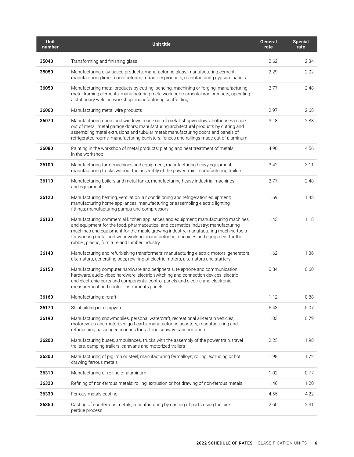| <b>Unit</b><br>number | Unit title                                                                                                                                                                                                                                                                                                                                                                                       | General<br>rate | <b>Special</b><br>rate |
|-----------------------|--------------------------------------------------------------------------------------------------------------------------------------------------------------------------------------------------------------------------------------------------------------------------------------------------------------------------------------------------------------------------------------------------|-----------------|------------------------|
| 35040                 | Transforming and finishing glass                                                                                                                                                                                                                                                                                                                                                                 | 2.62            | 2.34                   |
| 35050                 | Manufacturing clay-based products; manufacturing glass; manufacturing cement;<br>manufacturing lime; manufacturing refractory products; manufacturing gypsum panels                                                                                                                                                                                                                              | 2.29            | 2.02                   |
| 36050                 | Manufacturing metal products by cutting, bending, machining or forging; manufacturing<br>metal framing elements; manufacturing metalwork or ornamental iron products; operating<br>a stationary welding workshop; manufacturing scaffolding                                                                                                                                                      | 2.77            | 2.48                   |
| 36060                 | Manufacturing metal wire products                                                                                                                                                                                                                                                                                                                                                                | 2.97            | 2.68                   |
| 36070                 | Manufacturing doors and windows made out of metal, shopwindows, hothouses made<br>out of metal, metal garage doors; manufacturing architectural products by cutting and<br>assembling metal extrusions and tubular metal; manufacturing doors and panels of<br>refrigerated rooms; manufacturing banisters, fences and railings made out of aluminum                                             | 3.18            | 2.88                   |
| 36080                 | Painting in the workshop of metal products; plating and heat treatment of metals<br>in the workshop                                                                                                                                                                                                                                                                                              | 4.90            | 4.56                   |
| 36100                 | Manufacturing farm machines and equipment; manufacturing heavy equipment;<br>manufacturing trucks without the assembly of the power train; manufacturing trailers                                                                                                                                                                                                                                | 3.42            | 3.11                   |
| 36110                 | Manufacturing boilers and metal tanks; manufacturing heavy industrial machines<br>and equipment                                                                                                                                                                                                                                                                                                  | 2.77            | 2.48                   |
| 36120                 | Manufacturing heating, ventilation, air conditioning and refrigeration equipment;<br>manufacturing home appliances; manufacturing or assembling electric lighting<br>fittings; manufacturing pumps and compressors                                                                                                                                                                               | 1.69            | 1.43                   |
| 36130                 | Manufacturing commercial kitchen appliances and equipment; manufacturing machines<br>and equipment for the food, pharmaceutical and cosmetics industry; manufacturing<br>machines and equipment for the maple growing industry; manufacturing machine-tools<br>for working metal and woodworking; manufacturing machines and equipment for the<br>rubber, plastic, furniture and lumber industry | 1.43            | 1.18                   |
| 36140                 | Manufacturing and refurbishing transformers; manufacturing electric motors, generators,<br>alternators, generating sets; rewiring of electric motors, alternators and starters                                                                                                                                                                                                                   | 1.62            | 1.36                   |
| 36150                 | Manufacturing computer hardware and peripherals, telephone and communication<br>hardware, audio-video hardware, electric switching and connection devices, electric<br>and electronic parts and components, control panels and electric and electronic<br>measurement and control instruments panels                                                                                             | 0.84            | 0.60                   |
| 36160                 | Manufacturing aircraft                                                                                                                                                                                                                                                                                                                                                                           | 1.12            | 0.88                   |
| 36170                 | Shipbuilding in a shipyard                                                                                                                                                                                                                                                                                                                                                                       | 5.43            | 5.07                   |
| 36190                 | Manufacturing snowmobiles, personal watercraft, recreational all-terrain vehicles,<br>motorcycles and motorized golf carts; manufacturing scooters; manufacturing and<br>refurbishing passenger coaches for rail and subway transportation                                                                                                                                                       | 1.03            | 0.79                   |
| 36200                 | Manufacturing buses, ambulances, trucks with the assembly of the power train, travel<br>trailers, camping trailers, caravans and motorized trailers                                                                                                                                                                                                                                              | 2.25            | 1.98                   |
| 36300                 | Manufacturing of pig iron or steel; manufacturing ferroalloys; rolling, extruding or hot<br>drawing ferrous metals                                                                                                                                                                                                                                                                               | 1.98            | 1.72                   |
| 36310                 | Manufacturing or rolling of aluminum                                                                                                                                                                                                                                                                                                                                                             | 1.02            | 0.77                   |
| 36320                 | Refining of non-ferrous metals; rolling, extrusion or hot drawing of non-ferrous metals                                                                                                                                                                                                                                                                                                          | 1.46            | 1.20                   |
| 36330                 | Ferrous metals casting                                                                                                                                                                                                                                                                                                                                                                           | 4.55            | 4.22                   |
| 36350                 | Casting of non-ferrous metals; manufacturing by casting of parts using the cire<br>perdue process                                                                                                                                                                                                                                                                                                | 2.60            | 2.31                   |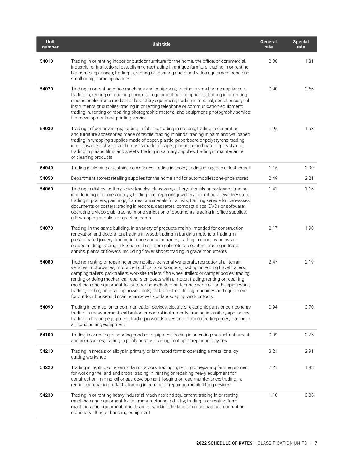| <b>Unit</b><br>number | Unit title                                                                                                                                                                                                                                                                                                                                                                                                                                                                                                                                                                                                                                           | General<br>rate | <b>Special</b><br>rate |
|-----------------------|------------------------------------------------------------------------------------------------------------------------------------------------------------------------------------------------------------------------------------------------------------------------------------------------------------------------------------------------------------------------------------------------------------------------------------------------------------------------------------------------------------------------------------------------------------------------------------------------------------------------------------------------------|-----------------|------------------------|
| 54010                 | Trading in or renting indoor or outdoor furniture for the home, the office, or commercial,<br>industrial or institutional establishments; trading in antique furniture; trading in or renting<br>big home appliances; trading in, renting or repairing audio and video equipment; repairing<br>small or big home appliances                                                                                                                                                                                                                                                                                                                          | 2.08            | 1.81                   |
| 54020                 | Trading in or renting office machines and equipment; trading in small home appliances;<br>trading in, renting or repairing computer equipment and peripherals; trading in or renting<br>electric or electronic medical or laboratory equipment; trading in medical, dental or surgical<br>instruments or supplies; trading in or renting telephone or communication equipment;<br>trading in, renting or repairing photographic material and equipment; photography service;<br>film development and printing service                                                                                                                                | 0.90            | 0.66                   |
| 54030                 | Trading in floor coverings; trading in fabrics; trading in notions; trading in decorating<br>and furniture accessories made of textile; trading in blinds; trading in paint and wallpaper;<br>trading in wrapping supplies made of paper, plastic, paperboard or polystyrene; trading<br>in disposable dishware and utensils made of paper, plastic, paperboard or polystyrene;<br>trading in plastic films and sheets; trading in sanitary supplies; trading in maintenance<br>or cleaning products                                                                                                                                                 | 1.95            | 1.68                   |
| 54040                 | Trading in clothing or clothing accessories; trading in shoes; trading in luggage or leathercraft                                                                                                                                                                                                                                                                                                                                                                                                                                                                                                                                                    | 1.15            | 0.90                   |
| 54050                 | Department stores; retailing supplies for the home and for automobiles; one-price stores                                                                                                                                                                                                                                                                                                                                                                                                                                                                                                                                                             | 2.49            | 2.21                   |
| 54060                 | Trading in dishes, pottery, knick-knacks, glassware, cutlery, utensils or cookware; trading<br>in or lending of games or toys; trading in or repairing jewellery; operating a jewellery store;<br>trading in posters, paintings, frames or materials for artists; framing service for canvasses,<br>documents or posters; trading in records, cassettes, compact discs, DVDs or software;<br>operating a video club; trading in or distribution of documents; trading in office supplies,<br>gift-wrapping supplies or greeting cards                                                                                                                | 1.41            | 1.16                   |
| 54070                 | Trading, in the same building, in a variety of products mainly intended for construction,<br>renovation and decoration; trading in wood; trading in building materials; trading in<br>prefabricated joinery; trading in fences or balustrades; trading in doors, windows or<br>outdoor siding; trading in kitchen or bathroom cabinets or counters; trading in trees,<br>shrubs, plants or flowers, including flower shops; trading in grave monuments                                                                                                                                                                                               | 2.17            | 1.90                   |
| 54080                 | Trading, renting or repairing snowmobiles, personal watercraft, recreational all-terrain<br>vehicles, motorcycles, motorized golf carts or scooters; trading or renting travel trailers,<br>camping trailers, park trailers, worksite trailers, fifth wheel trailers or camper bodies; trading,<br>renting or doing mechanical repairs on boats with a motor; trading, renting or repairing<br>machines and equipment for outdoor household maintenance work or landscaping work;<br>trading, renting or repairing power tools; rental centre offering machines and equipment<br>for outdoor household maintenance work or landscaping work or tools | 2.47            | 2.19                   |
| 54090                 | Trading in connection or communication devices, electric or electronic parts or components;<br>trading in measurement, calibration or control instruments; trading in sanitary appliances;<br>trading in heating equipment; trading in woodstoves or prefabricated fireplaces; trading in<br>air conditioning equipment                                                                                                                                                                                                                                                                                                                              | 0.94            | 0.70                   |
| 54100                 | Trading in or renting of sporting goods or equipment; trading in or renting musical instruments<br>and accessories; trading in pools or spas; trading, renting or repairing bicycles                                                                                                                                                                                                                                                                                                                                                                                                                                                                 | 0.99            | 0.75                   |
| 54210                 | Trading in metals or alloys in primary or laminated forms; operating a metal or alloy<br>cutting workshop                                                                                                                                                                                                                                                                                                                                                                                                                                                                                                                                            | 3.21            | 2.91                   |
| 54220                 | Trading in, renting or repairing farm tractors; trading in, renting or repairing farm equipment<br>for working the land and crops; trading in, renting or repairing heavy equipment for<br>construction, mining, oil or gas development, logging or road maintenance; trading in,<br>renting or repairing forklifts; trading in, renting or repairing mobile lifting devices                                                                                                                                                                                                                                                                         | 2.21            | 1.93                   |
| 54230                 | Trading in or renting heavy industrial machines and equipment; trading in or renting<br>machines and equipment for the manufacturing industry; trading in or renting farm<br>machines and equipment other than for working the land or crops; trading in or renting<br>stationary lifting or handling equipment                                                                                                                                                                                                                                                                                                                                      | 1.10            | 0.86                   |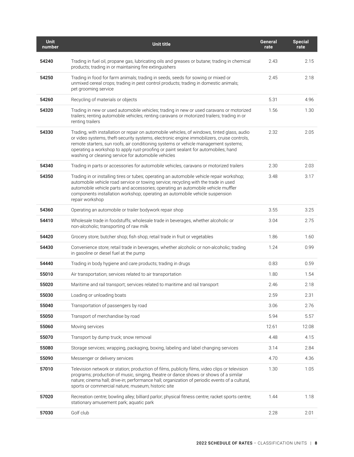| <b>Unit</b><br>number | <b>Unit title</b>                                                                                                                                                                                                                                                                                                                                                                                                              | General<br>rate | Special<br>rate |
|-----------------------|--------------------------------------------------------------------------------------------------------------------------------------------------------------------------------------------------------------------------------------------------------------------------------------------------------------------------------------------------------------------------------------------------------------------------------|-----------------|-----------------|
| 54240                 | Trading in fuel oil, propane gas, lubricating oils and greases or butane; trading in chemical<br>products; trading in or maintaining fire extinguishers                                                                                                                                                                                                                                                                        | 2.43            | 2.15            |
| 54250                 | Trading in food for farm animals; trading in seeds, seeds for sowing or mixed or<br>unmixed cereal crops; trading in pest control products; trading in domestic animals;<br>pet grooming service                                                                                                                                                                                                                               | 2.45            | 2.18            |
| 54260                 | Recycling of materials or objects                                                                                                                                                                                                                                                                                                                                                                                              | 5.31            | 4.96            |
| 54320                 | Trading in new or used automobile vehicles; trading in new or used caravans or motorized<br>trailers; renting automobile vehicles; renting caravans or motorized trailers; trading in or<br>renting trailers                                                                                                                                                                                                                   | 1.56            | 1.30            |
| 54330                 | Trading, with installation or repair on automobile vehicles, of windows, tinted glass, audio<br>or video systems, theft-security systems, electronic engine immobilizers, cruise controls,<br>remote starters, sun roofs, air conditioning systems or vehicle management systems;<br>operating a workshop to apply rust-proofing or paint sealant for automobiles; hand<br>washing or cleaning service for automobile vehicles | 2.32            | 2.05            |
| 54340                 | Trading in parts or accessories for automobile vehicles, caravans or motorized trailers                                                                                                                                                                                                                                                                                                                                        | 2.30            | 2.03            |
| 54350                 | Trading in or installing tires or tubes; operating an automobile vehicle repair workshop;<br>automobile vehicle road service or towing service; recycling with the trade in used<br>automobile vehicle parts and accessories; operating an automobile vehicle muffler<br>components installation workshop; operating an automobile vehicle suspension<br>repair workshop                                                       | 3.48            | 3.17            |
| 54360                 | Operating an automobile or trailer bodywork repair shop                                                                                                                                                                                                                                                                                                                                                                        | 3.55            | 3.25            |
| 54410                 | Wholesale trade in foodstuffs; wholesale trade in beverages, whether alcoholic or<br>non-alcoholic; transporting of raw milk                                                                                                                                                                                                                                                                                                   | 3.04            | 2.75            |
| 54420                 | Grocery store; butcher shop; fish shop; retail trade in fruit or vegetables                                                                                                                                                                                                                                                                                                                                                    | 1.86            | 1.60            |
| 54430                 | Convenience store; retail trade in beverages, whether alcoholic or non-alcoholic; trading<br>in gasoline or diesel fuel at the pump                                                                                                                                                                                                                                                                                            | 1.24            | 0.99            |
| 54440                 | Trading in body hygiene and care products; trading in drugs                                                                                                                                                                                                                                                                                                                                                                    | 0.83            | 0.59            |
| 55010                 | Air transportation; services related to air transportation                                                                                                                                                                                                                                                                                                                                                                     | 1.80            | 1.54            |
| 55020                 | Maritime and rail transport; services related to maritime and rail transport                                                                                                                                                                                                                                                                                                                                                   | 2.46            | 2.18            |
| 55030                 | Loading or unloading boats                                                                                                                                                                                                                                                                                                                                                                                                     | 2.59            | 2.31            |
| 55040                 | Transportation of passengers by road                                                                                                                                                                                                                                                                                                                                                                                           | 3.06            | 2.76            |
| 55050                 | Transport of merchandise by road                                                                                                                                                                                                                                                                                                                                                                                               | 5.94            | 5.57            |
| 55060                 | Moving services                                                                                                                                                                                                                                                                                                                                                                                                                | 12.61           | 12.08           |
| 55070                 | Transport by dump truck; snow removal                                                                                                                                                                                                                                                                                                                                                                                          | 4.48            | 4.15            |
| 55080                 | Storage services; wrapping, packaging, boxing, labeling and label changing services                                                                                                                                                                                                                                                                                                                                            | 3.14            | 2.84            |
| 55090                 | Messenger or delivery services                                                                                                                                                                                                                                                                                                                                                                                                 | 4.70            | 4.36            |
| 57010                 | Television network or station; production of films, publicity films, video clips or television<br>programs; production of music, singing, theatre or dance shows or shows of a similar<br>nature; cinema hall; drive-in; performance hall; organization of periodic events of a cultural,<br>sports or commercial nature; museum; historic site                                                                                | 1.30            | 1.05            |
| 57020                 | Recreation centre; bowling alley; billiard parlor; physical fitness centre; racket sports centre;<br>stationary amusement park; aquatic park                                                                                                                                                                                                                                                                                   | 1.44            | 1.18            |
| 57030                 | Golf club                                                                                                                                                                                                                                                                                                                                                                                                                      | 2.28            | 2.01            |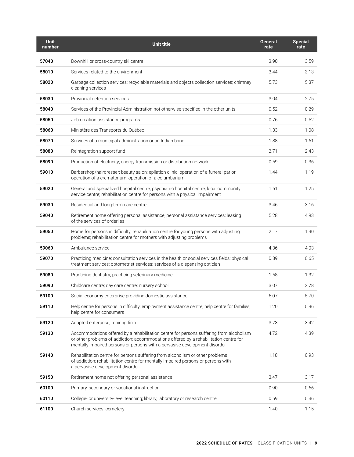| <b>Unit</b><br>number | Unit title                                                                                                                                                                                                                                                     | General<br>rate | <b>Special</b><br>rate |
|-----------------------|----------------------------------------------------------------------------------------------------------------------------------------------------------------------------------------------------------------------------------------------------------------|-----------------|------------------------|
| 57040                 | Downhill or cross-country ski centre                                                                                                                                                                                                                           | 3.90            | 3.59                   |
| 58010                 | Services related to the environment                                                                                                                                                                                                                            | 3.44            | 3.13                   |
| 58020                 | Garbage collection services; recyclable materials and objects collection services; chimney<br>cleaning services                                                                                                                                                | 5.73            | 5.37                   |
| 58030                 | Provincial detention services                                                                                                                                                                                                                                  | 3.04            | 2.75                   |
| 58040                 | Services of the Provincial Administration not otherwise specified in the other units                                                                                                                                                                           | 0.52            | 0.29                   |
| 58050                 | Job creation assistance programs                                                                                                                                                                                                                               | 0.76            | 0.52                   |
| 58060                 | Ministère des Transports du Québec                                                                                                                                                                                                                             | 1.33            | 1.08                   |
| 58070                 | Services of a municipal administration or an Indian band                                                                                                                                                                                                       | 1.88            | 1.61                   |
| 58080                 | Reintegration support fund                                                                                                                                                                                                                                     | 2.71            | 2.43                   |
| 58090                 | Production of electricity; energy transmission or distribution network                                                                                                                                                                                         | 0.59            | 0.36                   |
| 59010                 | Barbershop/hairdresser; beauty salon; epilation clinic; operation of a funeral parlor;<br>operation of a crematorium; operation of a columbarium                                                                                                               | 1.44            | 1.19                   |
| 59020                 | General and specialized hospital centre; psychiatric hospital centre; local community<br>service centre; rehabilitation centre for persons with a physical impairment                                                                                          | 1.51            | 1.25                   |
| 59030                 | Residential and long-term care centre                                                                                                                                                                                                                          | 3.46            | 3.16                   |
| 59040                 | Retirement home offering personal assistance; personal assistance services; leasing<br>of the services of orderlies                                                                                                                                            | 5.28            | 4.93                   |
| 59050                 | Home for persons in difficulty; rehabilitation centre for young persons with adjusting<br>problems; rehabilitation centre for mothers with adjusting problems                                                                                                  | 2.17            | 1.90                   |
| 59060                 | Ambulance service                                                                                                                                                                                                                                              | 4.36            | 4.03                   |
| 59070                 | Practicing medicine; consultation services in the health or social services fields; physical<br>treatment services; optometrist services; services of a dispensing optician                                                                                    | 0.89            | 0.65                   |
| 59080                 | Practicing dentistry; practicing veterinary medicine                                                                                                                                                                                                           | 1.58            | 1.32                   |
| 59090                 | Childcare centre; day care centre; nursery school                                                                                                                                                                                                              | 3.07            | 2.78                   |
| 59100                 | Social economy enterprise providing domestic assistance                                                                                                                                                                                                        | 6.07            | 5.70                   |
| 59110                 | Help centre for persons in difficulty; employment assistance centre; help centre for families;<br>help centre for consumers                                                                                                                                    | 1.20            | 0.96                   |
| 59120                 | Adapted enterprise; rehiring firm                                                                                                                                                                                                                              | 3.73            | 3.42                   |
| 59130                 | Accommodations offered by a rehabilitation centre for persons suffering from alcoholism<br>or other problems of addiction; accommodations offered by a rehabilitation centre for<br>mentally impaired persons or persons with a pervasive development disorder | 4.72            | 4.39                   |
| 59140                 | Rehabilitation centre for persons suffering from alcoholism or other problems<br>of addiction; rehabilitation centre for mentally impaired persons or persons with<br>a pervasive development disorder                                                         | 1.18            | 0.93                   |
| 59150                 | Retirement home not offering personal assistance                                                                                                                                                                                                               | 3.47            | 3.17                   |
| 60100                 | Primary, secondary or vocational instruction                                                                                                                                                                                                                   | 0.90            | 0.66                   |
| 60110                 | College- or university-level teaching; library; laboratory or research centre                                                                                                                                                                                  | 0.59            | 0.36                   |
| 61100                 | Church services; cemetery                                                                                                                                                                                                                                      | 1.40            | 1.15                   |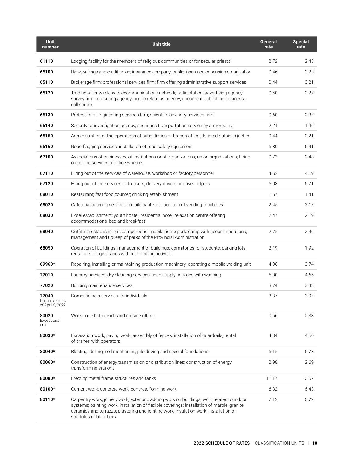| <b>Unit</b><br>number                         | Unit title                                                                                                                                                                                                                                                                                                   | General<br>rate | <b>Special</b><br>rate |
|-----------------------------------------------|--------------------------------------------------------------------------------------------------------------------------------------------------------------------------------------------------------------------------------------------------------------------------------------------------------------|-----------------|------------------------|
| 61110                                         | Lodging facility for the members of religious communities or for secular priests                                                                                                                                                                                                                             | 2.72            | 2.43                   |
| 65100                                         | Bank, savings and credit union; insurance company; public insurance or pension organization                                                                                                                                                                                                                  | 0.46            | 0.23                   |
| 65110                                         | Brokerage firm; professional services firm; firm offering administrative support services                                                                                                                                                                                                                    | 0.44            | 0.21                   |
| 65120                                         | Traditional or wireless telecommunications network; radio station; advertising agency;<br>survey firm; marketing agency; public relations agency; document publishing business;<br>call centre                                                                                                               | 0.50            | 0.27                   |
| 65130                                         | Professional engineering services firm; scientific advisory services firm                                                                                                                                                                                                                                    | 0.60            | 0.37                   |
| 65140                                         | Security or investigation agency; securities transportation service by armored car                                                                                                                                                                                                                           | 2.24            | 1.96                   |
| 65150                                         | Administration of the operations of subsidiaries or branch offices located outside Québec                                                                                                                                                                                                                    | 0.44            | 0.21                   |
| 65160                                         | Road flagging services; installation of road safety equipment                                                                                                                                                                                                                                                | 6.80            | 6.41                   |
| 67100                                         | Associations of businesses, of institutions or of organizations; union organizations; hiring<br>out of the services of office workers                                                                                                                                                                        | 0.72            | 0.48                   |
| 67110                                         | Hiring out of the services of warehouse, workshop or factory personnel                                                                                                                                                                                                                                       | 4.52            | 4.19                   |
| 67120                                         | Hiring out of the services of truckers, delivery drivers or driver helpers                                                                                                                                                                                                                                   | 6.08            | 5.71                   |
| 68010                                         | Restaurant; fast food counter; drinking establishment                                                                                                                                                                                                                                                        | 1.67            | 1.41                   |
| 68020                                         | Cafeteria; catering services; mobile canteen; operation of vending machines                                                                                                                                                                                                                                  | 2.45            | 2.17                   |
| 68030                                         | Hotel establishment; youth hostel; residential hotel; relaxation centre offering<br>accommodations; bed and breakfast                                                                                                                                                                                        | 2.47            | 2.19                   |
| 68040                                         | Outfitting establishment; campground; mobile home park; camp with accommodations;<br>management and upkeep of parks of the Provincial Administration                                                                                                                                                         | 2.75            | 2.46                   |
| 68050                                         | Operation of buildings; management of buildings; dormitories for students; parking lots;<br>rental of storage spaces without handling activities                                                                                                                                                             | 2.19            | 1.92                   |
| 69960*                                        | Repairing, installing or maintaining production machinery; operating a mobile welding unit                                                                                                                                                                                                                   | 4.06            | 3.74                   |
| 77010                                         | Laundry services; dry cleaning services; linen supply services with washing                                                                                                                                                                                                                                  | 5.00            | 4.66                   |
| 77020                                         | Building maintenance services                                                                                                                                                                                                                                                                                | 3.74            | 3.43                   |
| 77040<br>Unit in force as<br>of April 6, 2022 | Domestic help services for individuals                                                                                                                                                                                                                                                                       | 3.37            | 3.07                   |
| 80020<br>Exceptional<br>unit                  | Work done both inside and outside offices                                                                                                                                                                                                                                                                    | 0.56            | 0.33                   |
| 80030*                                        | Excavation work; paving work; assembly of fences; installation of guardrails; rental<br>of cranes with operators                                                                                                                                                                                             | 4.84            | 4.50                   |
| 80040*                                        | Blasting; drilling; soil mechanics; pile-driving and special foundations                                                                                                                                                                                                                                     | 6.15            | 5.78                   |
| 80060*                                        | Construction of energy transmission or distribution lines; construction of energy<br>transforming stations                                                                                                                                                                                                   | 2.98            | 2.69                   |
| 80080*                                        | Erecting metal frame structures and tanks                                                                                                                                                                                                                                                                    | 11.17           | 10.67                  |
| 80100*                                        | Cement work; concrete work; concrete forming work                                                                                                                                                                                                                                                            | 6.82            | 6.43                   |
| 80110*                                        | Carpentry work; joinery work; exterior cladding work on buildings; work related to indoor<br>systems; painting work; installation of flexible coverings; installation of marble, granite,<br>ceramics and terrazzo; plastering and jointing work; insulation work; installation of<br>scaffolds or bleachers | 7.12            | 6.72                   |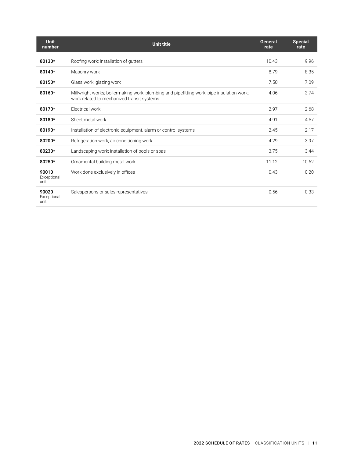| <b>Unit</b><br>number        | Unit title                                                                                                                              | General<br>rate | <b>Special</b><br>rate |
|------------------------------|-----------------------------------------------------------------------------------------------------------------------------------------|-----------------|------------------------|
| 80130*                       | Roofing work; installation of gutters                                                                                                   | 10.43           | 9.96                   |
| 80140*                       | Masonry work                                                                                                                            | 8.79            | 8.35                   |
| 80150*                       | Glass work; glazing work                                                                                                                | 7.50            | 7.09                   |
| 80160*                       | Millwright works; boilermaking work; plumbing and pipefitting work; pipe insulation work;<br>work related to mechanized transit systems | 4.06            | 3.74                   |
| 80170*                       | Electrical work                                                                                                                         | 2.97            | 2.68                   |
| 80180*                       | Sheet metal work                                                                                                                        | 4.91            | 4.57                   |
| 80190*                       | Installation of electronic equipment, alarm or control systems                                                                          | 2.45            | 2.17                   |
| 80200*                       | Refrigeration work, air conditioning work                                                                                               | 4.29            | 3.97                   |
| 80230*                       | Landscaping work; installation of pools or spas                                                                                         | 3.75            | 3.44                   |
| 80250*                       | Ornamental building metal work                                                                                                          | 11.12           | 10.62                  |
| 90010<br>Exceptional<br>unit | Work done exclusively in offices                                                                                                        | 0.43            | 0.20                   |
| 90020<br>Exceptional<br>unit | Salespersons or sales representatives                                                                                                   | 0.56            | 0.33                   |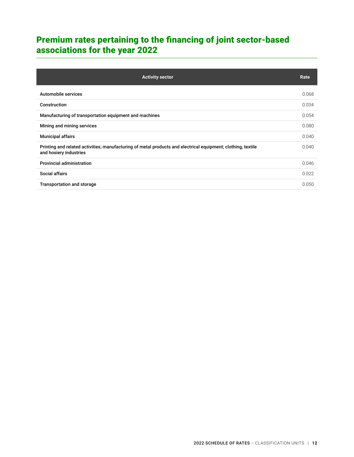# <span id="page-13-0"></span>Premium rates pertaining to the financing of joint sector-based associations for the year 2022

| <b>Activity sector</b>                                                                                                                 | Rate  |
|----------------------------------------------------------------------------------------------------------------------------------------|-------|
| Automobile services                                                                                                                    | 0.068 |
| Construction                                                                                                                           | 0.034 |
| Manufacturing of transportation equipment and machines                                                                                 | 0.054 |
| Mining and mining services                                                                                                             | 0.080 |
| <b>Municipal affairs</b>                                                                                                               | 0.040 |
| Printing and related activities; manufacturing of metal products and electrical equipment; clothing, textile<br>and hosiery industries | 0.040 |
| <b>Provincial administration</b>                                                                                                       | 0.046 |
| Social affairs                                                                                                                         | 0.022 |
| <b>Transportation and storage</b>                                                                                                      | 0.050 |